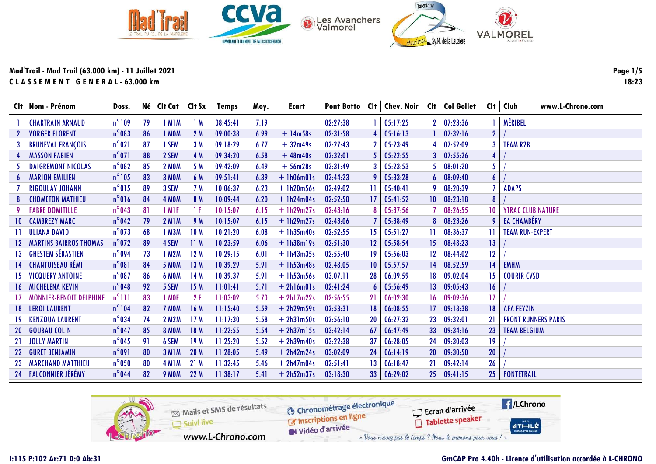

|                  | Clt Nom - Prénom               | Doss.           |    | Né Clt Cat Clt Sx  |                 | <b>Temps</b> | Moy. | Ecart        |          |                 | Pont Botto CIt   Chev. Noir CIt   Col Gollet CIt |                 |                    |                 | Club<br>www.L-Chrono.com   |
|------------------|--------------------------------|-----------------|----|--------------------|-----------------|--------------|------|--------------|----------|-----------------|--------------------------------------------------|-----------------|--------------------|-----------------|----------------------------|
|                  | <b>CHARTRAIN ARNAUD</b>        | $n^{\circ}109$  | 79 | 1 MIM              | 1 M             | 08:45:41     | 7.19 |              | 02:27:38 |                 | 05:17:25                                         |                 | $2 \mid 07:23:36$  |                 | MÉRIBEL                    |
|                  | <b>VORGER FLORENT</b>          | $n^{\circ}083$  | 86 | 1 MOM              | 2M              | 09:00:38     | 6.99 | $+14m58s$    | 02:31:58 |                 | 05:16:13                                         |                 | 07:32:16           | $\mathbf{2}$    |                            |
|                  | <b>BRUNEVAL FRANÇOIS</b>       | $n^{\circ}021$  | 87 | 1 SEM              | 3M              | 09:18:29     | 6.77 | $+32m49s$    | 02:27:43 | 2               | 05:23:49                                         |                 | 07:52:09           | 3               | <b>TEAM R2B</b>            |
|                  | <b>MASSON FABIEN</b>           | $n^{\circ}071$  | 88 | 2 SEM              | 4 M             | 09:34:20     | 6.58 | $+48m40s$    | 02:32:01 |                 | 05:22:55                                         | 3 <sup>1</sup>  | 07:55:26           |                 |                            |
|                  | <b>DAIGREMONT NICOLAS</b>      | $n^{\circ}082$  | 85 | <b>2 MOM</b>       | 5 M             | 09:42:09     | 6.49 | $+56m28s$    | 02:31:49 |                 | 05:23:53                                         |                 | 08:01:20           | 5.              |                            |
| 6                | <b>MARION EMILIEN</b>          | $n^{\circ}105$  | 83 | <b>3 MOM</b>       | 6 M             | 09:51:41     | 6.39 | $+$ 1h06m01s | 02:44:23 | 9               | 05:33:28                                         | 6               | 08:09:40           | $\overline{6}$  |                            |
|                  | <b>RIGOULAY JOHANN</b>         | $n^{\circ}015$  | 89 | 3 SEM              | 7 M             | 10:06:37     | 6.23 | $+1h20m56s$  | 02:49:02 | Ħ               | 05:40:41                                         |                 | 08:20:39           |                 | <b>ADAPS</b>               |
|                  | <b>CHOMETON MATHIEU</b>        | $n^{\circ}016$  | 84 | 4 MOM              | 8 M             | 10:09:44     | 6.20 | $+$ 1h24m04s | 02:52:58 | 17              | 05:41:52                                         | $10-10$         | 08:23:18           |                 |                            |
|                  | <b>FABRE DOMITILLE</b>         | $n^{\circ}$ 043 | 81 | 1 M <sub>IF</sub>  | -1 F            | 10:15:07     | 6.15 | $+1h29m27s$  | 02:43:16 |                 | 05:37:56                                         |                 | 08:26:55           | 10 <sup>1</sup> | <b>YTRAC CLUB NATURE</b>   |
| $10-10$          | <b>CAMBREZY MARC</b>           | $n^{\circ}042$  | 79 | <b>2 M1M</b>       | 9 M             | 10:15:07     | 6.15 | $+$ 1h29m27s | 02:43:06 |                 | 05:38:49                                         |                 | 08:23:26           |                 | <b>EA CHAMBÉRY</b>         |
|                  | <b>ULIANA DAVID</b>            | $n^{\circ}$ 073 | 68 | 1 M3M              | 10 <sub>M</sub> | 10:21:20     | 6.08 | $+1h35m40s$  | 02:52:55 | 15              | 05:51:27                                         | 11.             | 08:36:37           |                 | <b>TEAM RUN-EXPERT</b>     |
| 12 <sup>2</sup>  | <b>MARTINS BAIRROS THOMAS</b>  | $n^{\circ}$ 072 | 89 | 4 SEM              | 11M             | 10:23:59     | 6.06 | $+1h38m19s$  | 02:51:30 | 12 <sup>2</sup> | 05:58:54                                         | 15 <sup>2</sup> | 08:48:23           | 13 <sup>°</sup> |                            |
| 13 <sup>13</sup> | <b>GHESTEM SÉBASTIEN</b>       | $n^{\circ}$ 094 | 73 | 1 M2M              | 12M             | 10:29:15     | 6.01 | $+1h43m35s$  | 02:55:40 | 19              | 05:56:03                                         | 12 <sup>°</sup> | 08:44:02           | 12              |                            |
|                  | 14 CHANTOISEAU RÉMI            | $n^{\circ}081$  | 84 | <b>5 MOM</b>       | 13M             | 10:39:29     | 5.91 | $+$ 1h53m48s | 02:48:05 | 10              | 05:57:57                                         | 4               | 08:52:59           | 14              | <b>EMHM</b>                |
| 15               | <b>VICQUERY ANTOINE</b>        | $n^{\circ}087$  | 86 | <b>6 MOM</b>       | 14M             | 10:39:37     | 5.91 | $+1h53m56s$  | 03:07:11 | 28              | 06:09:59                                         | 18.             | 09:02:04           | 15 <sup>2</sup> | <b>COURIR CVSD</b>         |
|                  | <b>16 MICHELENA KEVIN</b>      | $n^{\circ}$ 048 | 92 | 5 SEM              | 15M             | 11:01:41     | 5.71 | $+ 2h16m01s$ | 02:41:24 | 6               | 05:56:49                                         | 13 <sup>1</sup> | 09:05:43           | 16              |                            |
| 17               | <b>MONNIER-BENOIT DELPHINE</b> | $n^{\circ}$ 111 | 83 | 1 MOF              | 2F              | 11:03:02     | 5.70 | $+ 2h17m22s$ | 02:56:55 | 21              | 06:02:30                                         | 16.             | 09:09:36           | 17              |                            |
| 18 -             | <b>LEROI LAURENT</b>           | $n^{\circ}104$  | 82 | 7 MOM              | 16 M            | 11:15:40     | 5.59 | $+ 2h29m59s$ | 02:53:31 | 18              | 06:08:55                                         | 17 <sup>2</sup> | 09:18:38           | 18              | <b>AFA FEYZIN</b>          |
| 19.              | <b>KENZOUA LAURENT</b>         | $n^{\circ}$ 034 | 74 | 2 M2M              | 17 <sub>M</sub> | 11:17:30     | 5.58 | $+ 2h31m50s$ | 02:56:10 | 20              | 06:27:32                                         | 23              | 09:32:01           | 21              | <b>FRONT RUNNERS PARIS</b> |
| <b>20</b>        | <b>GOUBAU COLIN</b>            | $n^{\circ}$ 047 | 85 | <b>8 MOM</b>       | 18M             | 11:22:55     | 5.54 | $+ 2h37m15s$ | 03:42:14 | 67              | 06:47:49                                         | 33              | 09:34:16           | 23              | <b>TEAM BELGIUM</b>        |
| 21               | <b>JOLLY MARTIN</b>            | $n^{\circ}$ 045 | 91 | 6 SEM              | 19 <sub>M</sub> | 11:25:20     | 5.52 | $+ 2h39m40s$ | 03:22:38 | 37              | 06:28:05                                         | 24              | 09:30:03           | 19              |                            |
| 22 <sub>2</sub>  | <b>GURET BENJAMIN</b>          | $n^{\circ}091$  | 80 | 3 M <sub>I</sub> M | 20 M            | 11:28:05     | 5.49 | $+ 2h42m24s$ | 03:02:09 | 24              | 06:14:19                                         | <b>20</b>       | 09:30:50           | 20              |                            |
| 23               | <b>MARCHAND MATTHIEU</b>       | $n^{\circ}$ 050 | 80 | 4 M <sub>I</sub> M | 21M             | 11:32:45     | 5.46 | $+ 2h47m04s$ | 02:51:41 | 13              | 06:18:47                                         | 21              | 09:42:14           | 26              |                            |
|                  | 24 FALCONNIER JÉRÉMY           | $n^{\circ}$ 044 | 82 | <b>9 MOM</b>       | 22M             | 11:38:17     | 5.41 | $+ 2h52m37s$ | 03:18:30 | 33 <sup>°</sup> | 06:29:02                                         |                 | $25 \mid 09:41:15$ | 25              | <b>PONTETRAIL</b>          |

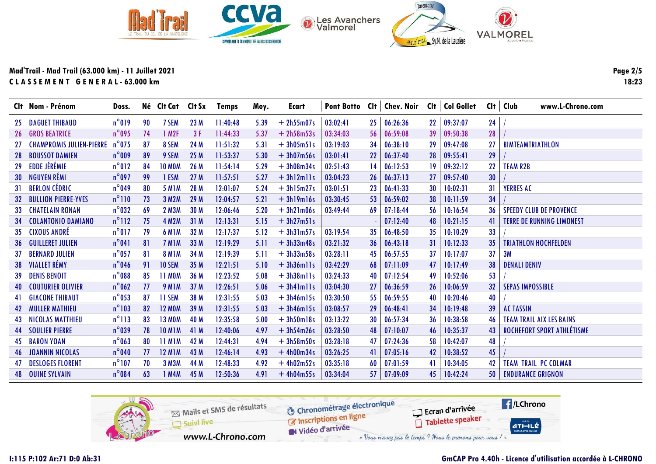

|                 | Clt Nom - Prénom                | Doss.           |    | Né Clt Cat        | Clt Sx | <b>Temps</b> | Moy. | Ecart        | <b>Pont Botto</b> |                 | $Clt  $ Chev. Noir |                 | Clt   Col Gollet | Cl <sub>t</sub> | Club<br>www.L-Chrono.com         |
|-----------------|---------------------------------|-----------------|----|-------------------|--------|--------------|------|--------------|-------------------|-----------------|--------------------|-----------------|------------------|-----------------|----------------------------------|
| 25              | <b>DAGUET THIBAUD</b>           | $n^{\circ}019$  | 90 | 7 SEM             | 23 M   | 11:40:48     | 5.39 | $+ 2h55m07s$ | 03:02:41          | 25 <sup>2</sup> | 06:26:36           | 22              | 09:37:07         | 24              |                                  |
|                 | <b>26 GROS BEATRICE</b>         | $n^{\circ}$ 095 | 74 | 1 M <sub>2F</sub> | 3F     | 11:44:33     | 5.37 | $+ 2h58m53s$ | 03:34:03          | 56 <sup>1</sup> | 06:59:08           | 39              | 09:50:38         | 28              |                                  |
|                 | <b>CHAMPROMIS JULIEN-PIERRE</b> | $n^{\circ}$ 075 | 87 | 8 SEM             | 24 M   | 11:51:32     | 5.31 | $+3h05m51s$  | 03:19:03          | 34              | 06:38:10           | 29              | 09:47:08         | 27              | <b>BIMTEAMTRIATHLON</b>          |
| 28              | <b>BOUSSOT DAMIEN</b>           | $n^{\circ}$ 009 | 89 | 9 SEM             | 25 M   | 11:53:37     | 5.30 | $+3h07m56s$  | 03:01:41          | <b>22</b>       | 06:37:40           | 28              | 09:55:41         | 29              |                                  |
| 29              | EDDE JÉRÉMIE                    | $n^{\circ}012$  | 84 | <b>10 MOM</b>     | 26 M   | 11:54:14     | 5.29 | $+3h08m34s$  | 02:51:43          | 14              | 06:12:53           | 19              | 09:32:12         | 22              | <b>TEAM R2B</b>                  |
| <b>30</b>       | NGUYEN RÉMI                     | $n^{\circ}$ 097 | 99 | 1 ESM             | 27M    | 11:57:51     | 5.27 | $+3h12m11s$  | 03:04:23          | 26              | 06:37:13           | 27              | 09:57:40         | 30              |                                  |
| 31              | <b>BERLON CÉDRIC</b>            | $n^{\circ}$ 049 | 80 | <b>5 M1M</b>      | 28 M   | 12:01:07     | 5.24 | $+3h15m27s$  | 03:01:51          | 23              | 06:41:33           | 30              | 10:02:31         | 31              | <b>YERRES AC</b>                 |
| 32              | <b>BULLION PIERRE-YVES</b>      | $n^{\circ}110$  | 73 | 3 M2M             | 29 M   | 12:04:57     | 5.21 | $+3h19m16s$  | 03:30:45          | 53              | 06:59:02           | 38              | 10:11:59         | 34              |                                  |
| 33              | <b>CHATELAIN RONAN</b>          | $n^{\circ}$ 032 | 69 | <b>2 M3M</b>      | 30 M   | 12:06:46     | 5.20 | $+3h21m06s$  | 03:49:44          | 69              | 07:18:44           | 56              | 10:16:54         | 36              | <b>SPEEDY CLUB DE PROVENCE</b>   |
| 34              | <b>COLANTONIO DAMIANO</b>       | $n^{\circ}112$  | 75 | <b>4 M2M</b>      | 31M    | 12:13:31     | 5.15 | $+3h27m51s$  |                   |                 | 07:12:40           | 48              | 10:21:15         | 41              | <b>TERRE DE RUNNING LIMONEST</b> |
|                 | 35 CIXOUS ANDRÉ                 | $n^{\circ}017$  | 79 | <b>6 M1M</b>      | 32 M   | 12:17:37     | 5.12 | $+3h3lm57s$  | 03:19:54          | 35 <sub>1</sub> | 06:48:50           | 35              | 10:10:29         | 33              |                                  |
| 36 <sup>°</sup> | <b>GUILLERET JULIEN</b>         | $n^{\circ}041$  | 81 | 7 MIM             | 33 M   | 12:19:29     | 5.11 | $+3h33m48s$  | 03:21:32          | 36              | 06:43:18           | 31              | 10:12:33         | 35 <sub>5</sub> | <b>TRIATHLON HOCHFELDEN</b>      |
| 37              | <b>BERNARD JULIEN</b>           | $n^{\circ}$ 057 | 81 | <b>8 M1M</b>      | 34 M   | 12:19:39     | 5.11 | $+3h33m58s$  | 03:28:11          | 45              | 06:57:55           | 37              | 10:17:07         | 37              | 3M                               |
|                 | 38 VIALLET RÉMY                 | $n^{\circ}$ 046 | 91 | 10 SEM            | 35 M   | 12:21:51     | 5.10 | $+3h36m11s$  | 03:42:29          | 68              | 07:11:09           | 47              | 10:17:49         | 38              | <b>DENALI DENIV</b>              |
| 39              | <b>DENIS BENOIT</b>             | $n^{\circ}$ 088 | 85 | <b>11 MOM</b>     | 36 M   | 12:23:52     | 5.08 | $+3h38m11s$  | 03:24:33          | 40              | 07:12:54           | 49              | 10:52:06         | 53              |                                  |
| 40              | <b>COUTURIER OLIVIER</b>        | $n^{\circ}$ 062 | 77 | 9 MIM             | 37 M   | 12:26:51     | 5.06 | $+ 3h41m11s$ | 03:04:30          | 27              | 06:36:59           | 26              | 10:06:59         | 32              | <b>SEPAS IMPOSSIBLE</b>          |
|                 | <b>41 GIACONE THIBAUT</b>       | $n^{\circ}$ 053 | 87 | 11 SEM            | 38 M   | 12:31:55     | 5.03 | $+3h46m15s$  | 03:30:50          | 55              | 06:59:55           | 40              | 10:20:46         | 40              |                                  |
|                 | <b>42 MULLER MATHIEU</b>        | $n^{\circ}103$  | 82 | <b>12 MOM</b>     | 39 M   | 12:31:55     | 5.03 | $+3h46m15s$  | 03:08:57          | 29              | 06:48:41           | 34              | 10:19:48         | 39              | <b>AC TASSIN</b>                 |
|                 | <b>43 NICOLAS MATTHIEU</b>      | $n^{\circ}113$  | 83 | <b>13 MOM</b>     | 40 M   | 12:35:58     | 5.00 | $+3h50m18s$  | 03:13:22          | 30              | 06:57:34           | 36              | 10:38:58         | 46              | <b>TEAM TRAIL AIX LES BAINS</b>  |
|                 | <b>44 SOULIER PIERRE</b>        | $n^{\circ}$ 039 | 78 | <b>10 M1M</b>     | 41 M   | 12:40:06     | 4.97 | $+3h54m26s$  | 03:28:50          | 48              | 07:10:07           | 46              | 10:35:37         | 43              | ROCHEFORT SPORT ATHLÉTISME       |
|                 | <b>45 BARON YOAN</b>            | $n^{\circ}$ 063 | 80 | <b>11 MIM</b>     | 42 M   | 12:44:31     | 4.94 | $+3h58m50s$  | 03:28:18          | 47              | 07:24:36           | 58              | 10:42:07         | 48              |                                  |
|                 | <b>46 JOANNIN NICOLAS</b>       | $n^{\circ}$ 040 | 77 | <b>12 M1M</b>     | 43 M   | 12:46:14     | 4.93 | $+4h00m34s$  | 03:26:25          | 41              | 07:05:16           | 42              | 10:38:52         | 45              |                                  |
|                 | <b>DESLOGES FLORENT</b>         | $n^{\circ}$ 107 | 70 | <b>3 M3M</b>      | 44 M   | 12:48:33     | 4.92 | $+4h02m52s$  | 03:35:18          | 60              | 07:01:59           | 41              | 10:34:05         | 42              | <b>TEAM TRAIL PC COLMAR</b>      |
|                 | <b>48 OUINE SYLVAIN</b>         | $n^{\circ}084$  | 63 | 1 M4M             | 45 M   | 12:50:36     | 4.91 | $+4h04m55s$  | 03:34:04          | 57              | 07:09:09           | 45 <sup>°</sup> | 10:42:24         | 50              | <b>ENDURANCE GRIGNON</b>         |

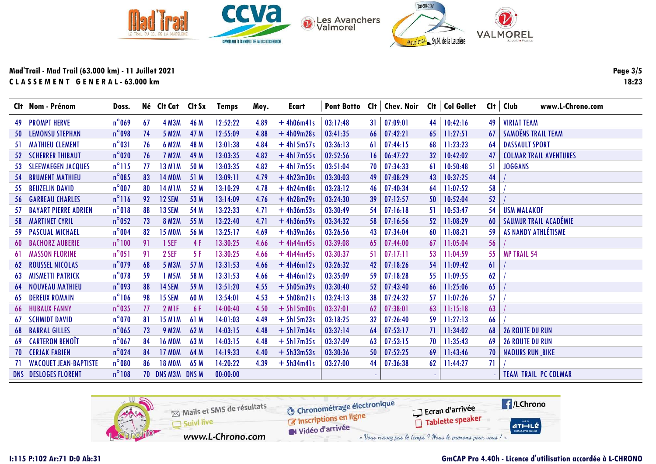

|    | Clt Nom - Prénom             | Doss.           |    | Né Clt Cat Clt Sx       |      | <b>Temps</b> | Moy. | Ecart        |          |                 | Pont Botto Cit   Chev. Noir Cit   Col Gollet |                 |          |     | Clt   Club<br>www.L-Chrono.com |
|----|------------------------------|-----------------|----|-------------------------|------|--------------|------|--------------|----------|-----------------|----------------------------------------------|-----------------|----------|-----|--------------------------------|
|    | <b>49 PROMPT HERVE</b>       | $n^{\circ}$ 069 | 67 | <b>4 M3M</b>            | 46 M | 12:52:22     | 4.89 | $+4h06m41s$  | 03:17:48 | 31              | 07:09:01                                     | 44              | 10:42:16 | 49  | <b>VIRIAT TEAM</b>             |
|    | <b>50 LEMONSU STEPHAN</b>    | $n^{\circ}$ 098 | 74 | 5 M2M                   | 47 M | 12:55:09     | 4.88 | $+4h09m28s$  | 03:41:35 | 66              | 07:42:21                                     | 65              | 11:27:51 | 67  | SAMOËNS TRAIL TEAM             |
|    | <b>51 MATHIEU CLEMENT</b>    | $n^{\circ}031$  | 76 | <b>6 M2M</b>            | 48 M | 13:01:38     | 4.84 | $+4h15m57s$  | 03:36:13 | 61              | 07:44:15                                     | 68              | 11:23:23 | 64  | <b>DASSAULT SPORT</b>          |
|    | <b>52 SCHERRER THIBAUT</b>   | $n^{\circ}020$  | 76 | <b>7 M2M</b>            | 49 M | 13:03:35     | 4.82 | $+4h17m55s$  | 02:52:56 | 16 <sup>1</sup> | 06:47:22                                     | 32 <sup>°</sup> | 10:42:02 | 47  | <b>COLMAR TRAIL AVENTURES</b>  |
| 53 | <b>SLEEWAEGEN JACQUES</b>    | $n^{\circ}115$  | 77 | <b>13 M1M</b>           | 50 M | 13:03:35     | 4.82 | $+4h17m55s$  | 03:51:04 | 70              | 07:34:33                                     | 61              | 10:50:48 | 51  | <b>JOGGANS</b>                 |
|    | <b>54 BRUMENT MATHIEU</b>    | $n^{\circ}085$  | 83 | <b>14 MOM</b>           | 51 M | 13:09:11     | 4.79 | $+4h23m30s$  | 03:30:03 | 49              | 07:08:29                                     | 43              | 10:37:25 | 44  |                                |
|    | 55 BEUZELIN DAVID            | $n^{\circ}$ 007 | 80 | <b>14 M1M</b>           | 52 M | 13:10:29     | 4.78 | $+4h24m48s$  | 03:28:12 | 46              | 07:40:34                                     | 64              | 11:07:52 | 58  |                                |
|    | <b>56 GARREAU CHARLES</b>    | $n^{\circ}116$  | 92 | 12 SEM                  | 53 M | 13:14:09     | 4.76 | $+4h28m29s$  | 03:24:30 | 39              | 07:12:57                                     | 50              | 10:52:04 | 52  |                                |
| 57 | <b>BAYART PIERRE ADRIEN</b>  | $n^{\circ}018$  | 88 | 13 SEM                  | 54 M | 13:22:33     | 4.71 | $+4h36m53s$  | 03:30:49 | 54.             | 07:16:18                                     | 51              | 10:53:47 | 54  | <b>USM MALAKOF</b>             |
|    | <b>58 MARTINET CYRIL</b>     | $n^{\circ}$ 052 | 73 | <b>8 M2M</b>            | 55 M | 13:22:40     | 4.71 | $+4h36m59s$  | 03:34:32 | 58              | 07:16:56                                     | 52              | 11:08:29 | 60  | SAUMUR TRAIL ACADÉMIE          |
|    | <b>59 PASCUAL MICHAEL</b>    | $n^{\circ}$ 004 | 82 | <b>15 MOM</b>           | 56 M | 13:25:17     | 4.69 | $+4h39m36s$  | 03:26:56 | 43              | 07:34:04                                     | 60              | 11:08:21 | 59  | AS NANDY ATHLÉTISME            |
|    | <b>60 BACHORZ AUBERIE</b>    | $n^{\circ}100$  | 91 | 1 SEF                   | 4F   | 13:30:25     | 4.66 | $+4h44m45s$  | 03:39:08 | 65              | 07:44:00                                     | 67              | 11:05:04 | 56  |                                |
|    | <b>61 MASSON FLORINE</b>     | $n^{\circ}051$  | 91 | 2 SEF                   | 5 F  | 13:30:25     | 4.66 | $+4h44m45s$  | 03:30:37 | 51.             | 07:17:11                                     | 53              | 11:04:59 | 55  | <b>MP TRAIL 54</b>             |
|    | <b>62 ROUSSEL NICOLAS</b>    | $n^{\circ}$ 079 | 68 | <b>5 M3M</b>            | 57 M | 13:31:53     | 4.66 | $+4h46m12s$  | 03:26:32 | 42              | 07:18:26                                     | 54              | 11:09:42 | 61  |                                |
| 63 | <b>MISMETTI PATRICK</b>      | $n^{\circ}$ 078 | 59 | 1 M5M                   | 58 M | 13:31:53     | 4.66 | $+4h46m12s$  | 03:35:09 | 59.             | 07:18:28                                     | 55              | 11:09:55 | 62  |                                |
| 64 | <b>NOUVEAU MATHIEU</b>       | $n^{\circ}$ 093 | 88 | <b>14 SEM</b>           | 59 M | 13:51:20     | 4.55 | $+ 5h05m39s$ | 03:30:40 | 52              | 07:43:40                                     | 66              | 11:25:06 | 65  |                                |
| 65 | <b>DEREUX ROMAIN</b>         | $n^{\circ}106$  | 98 | <b>15 SEM</b>           | 60 M | 13:54:01     | 4.53 | $+ 5h08m21s$ | 03:24:13 | 38              | 07:24:32                                     | 57              | 11:07:26 | 57  |                                |
| 66 | <b>HUBAUX FANNY</b>          | $n^{\circ}$ 035 | 77 | 2 MIF                   | 6 F  | 14:00:40     | 4.50 | $+ 5h15m00s$ | 03:37:01 | 62              | 07:38:01                                     | 63              | 11:15:18 | 63  |                                |
| 67 | <b>SCHMIDT DAVID</b>         | $n^{\circ}$ 070 | 81 | <b>15 M1M</b>           | 61 M | 14:01:03     | 4.49 | $+ 5h15m23s$ | 03:18:25 | 32              | 07:26:40                                     | 59              | 11:27:13 | 66  |                                |
|    | <b>68 BARRAL GILLES</b>      | $n^{\circ}$ 065 | 73 | <b>9 M2M</b>            | 62 M | 14:03:15     | 4.48 | $+ 5h17m34s$ | 03:37:14 | 64              | 07:53:17                                     | 71              | 11:34:02 | 68  | <b>26 ROUTE DU RUN</b>         |
|    | <b>69 CARTERON BENOIT</b>    | $n^{\circ}$ 067 | 84 | <b>16 MOM</b>           | 63 M | 14:03:15     | 4.48 | $+ 5h17m35s$ | 03:37:09 | 63              | 07:53:15                                     | 70              | 11:35:43 | -69 | <b>26 ROUTE DU RUN</b>         |
|    | <b>70 CERJAK FABIEN</b>      | $n^{\circ}$ 024 | 84 | <b>17 MOM</b>           | 64 M | 14:19:33     | 4.40 | $+ 5h33m53s$ | 03:30:36 | 50              | 07:52:25                                     | 69              | 11:43:46 | 70  | <b>NAOURS RUN_BIKE</b>         |
| 71 | <b>WACQUET JEAN-BAPTISTE</b> | $n^{\circ}080$  | 86 | <b>18 MOM</b>           | 65 M | 14:20:22     | 4.39 | $+ 5h34m41s$ | 03:27:00 | 44              | 07:36:38                                     | 62              | 11:44:27 | 71  |                                |
|    | <b>DNS DESLOGES FLORENT</b>  | $n^{\circ}108$  |    | <b>70 DNS M3M DNS M</b> |      | 00:00:00     |      |              |          |                 |                                              |                 |          |     | <b>TEAM TRAIL PC COLMAR</b>    |

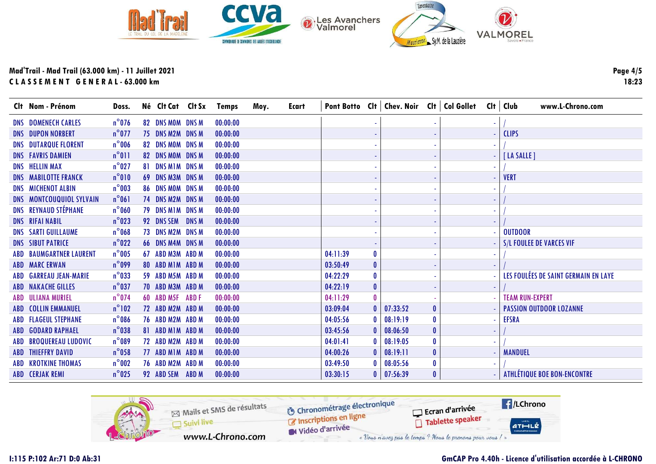

| Clt Nom - Prénom                | Doss.           | Né Clt Cat Clt Sx       |              | <b>Temps</b> | Moy. | Ecart |          |              | Pont Botto Cit   Chev. Noir Cit   Col Gollet Cit   Club |              |  | www.L-Chrono.com                     |
|---------------------------------|-----------------|-------------------------|--------------|--------------|------|-------|----------|--------------|---------------------------------------------------------|--------------|--|--------------------------------------|
| <b>DNS DOMENECH CARLES</b>      | $n^{\circ}$ 076 | 82 DNS MOM DNS M        |              | 00:00:00     |      |       |          |              |                                                         |              |  |                                      |
| <b>DNS DUPON NORBERT</b>        | $n^{\circ}$ 077 | 75 DNS M2M DNS M        |              | 00:00:00     |      |       |          |              |                                                         |              |  | <b>CLIPS</b>                         |
| <b>DNS DUTARQUE FLORENT</b>     | $n^{\circ}$ 006 | 82 DNS MOM DNS M        |              | 00:00:00     |      |       |          |              |                                                         |              |  |                                      |
| <b>DNS FAVRIS DAMIEN</b>        | $n^{\circ}011$  | 82 DNS MOM DNS M        |              | 00:00:00     |      |       |          |              |                                                         |              |  | [LA SALLE]                           |
| <b>DNS HELLIN MAX</b>           | $n^{\circ}$ 027 | 81 DNS M1M DNS M        |              | 00:00:00     |      |       |          |              |                                                         |              |  |                                      |
| <b>DNS MABILOTTE FRANCK</b>     | $n^{\circ}010$  | 69 DNS M3M DNS M        |              | 00:00:00     |      |       |          |              |                                                         |              |  | <b>VERT</b>                          |
| <b>DNS MICHENOT ALBIN</b>       | $n^{\circ}$ 003 | 86 DNS MOM DNS M        |              | 00:00:00     |      |       |          |              |                                                         |              |  |                                      |
| <b>DNS MONTCOUQUIOL SYLVAIN</b> | $n^{\circ}061$  | 74 DNS M2M DNS M        |              | 00:00:00     |      |       |          |              |                                                         |              |  |                                      |
| <b>DNS REYNAUD STÉPHANE</b>     | $n^{\circ}$ 060 | <b>79 DNS MIM DNS M</b> |              | 00:00:00     |      |       |          |              |                                                         |              |  |                                      |
| <b>DNS RIFAI NABIL</b>          | $n^{\circ}023$  | 92 DNS SEM              | <b>DNS M</b> | 00:00:00     |      |       |          |              |                                                         |              |  |                                      |
| <b>DNS SARTI GUILLAUME</b>      | $n^{\circ}$ 068 | 73 DNS M2M DNS M        |              | 00:00:00     |      |       |          |              |                                                         |              |  | <b>OUTDOOR</b>                       |
| <b>DNS SIBUT PATRICE</b>        | $n^{\circ}022$  | <b>66 DNS M4M DNS M</b> |              | 00:00:00     |      |       |          |              |                                                         |              |  | <b>S/L FOULEE DE VARCES VIF</b>      |
| <b>ABD BAUMGARTNER LAURENT</b>  | $n^{\circ}$ 005 | 67 ABD M3M ABD M        |              | 00:00:00     |      |       | 04:11:39 | 0            |                                                         |              |  |                                      |
| <b>ABD MARCERWAN</b>            | $n^{\circ}$ 099 | 80 ABD MIM ABD M        |              | 00:00:00     |      |       | 03:50:49 | 0            |                                                         |              |  |                                      |
| ABD GARREAU JEAN-MARIE          | $n^{\circ}$ 033 | 59 ABD M5M ABD M        |              | 00:00:00     |      |       | 04:22:29 | 0            |                                                         |              |  | LES FOULÉES DE SAINT GERMAIN EN LAYE |
| <b>ABD NAKACHE GILLES</b>       | $n^{\circ}$ 037 | 70 ABD M3M ABD M        |              | 00:00:00     |      |       | 04:22:19 | $\bf{0}$     |                                                         |              |  |                                      |
| <b>ABD ULIANA MURIEL</b>        | $n^{\circ}$ 074 | 60 ABD M5F ABD F        |              | 00:00:00     |      |       | 04:11:29 | $\mathbf{0}$ |                                                         |              |  | <b>TEAM RUN-EXPERT</b>               |
| <b>ABD COLLIN EMMANUEL</b>      | $n^{\circ}102$  | 72 ABD M2M ABD M        |              | 00:00:00     |      |       | 03:09:04 |              | 07:33:52                                                | $\mathbf{0}$ |  | <b>PASSION OUTDOOR LOZANNE</b>       |
| <b>ABD FLAGEUL STEPHANE</b>     | $n^{\circ}$ 086 | 76 ABD M2M ABD M        |              | 00:00:00     |      |       | 04:05:56 |              | 08:19:19                                                | $\mathbf{0}$ |  | <b>EFSRA</b>                         |
| <b>ABD GODARD RAPHAEL</b>       | $n^{\circ}$ 038 | 81 ABD MIM ABD M        |              | 00:00:00     |      |       | 03:45:56 |              | 08:06:50                                                | $\mathbf{0}$ |  |                                      |
| <b>ABD BROQUEREAU LUDOVIC</b>   | $n^{\circ}089$  | 72 ABD M2M ABD M        |              | 00:00:00     |      |       | 04:01:41 |              | 08:19:05                                                | $\mathbf{0}$ |  |                                      |
| <b>ABD THIEFFRY DAVID</b>       | $n^{\circ}$ 058 | 77 ABD MIM ABD M        |              | 00:00:00     |      |       | 04:00:26 |              | 08:19:11                                                | $\mathbf{0}$ |  | <b>MANDUEL</b>                       |
| <b>ABD KROTKINE THOMAS</b>      | $n^{\circ}$ 002 | 76 ABD M2M ABD M        |              | 00:00:00     |      |       | 03:49:50 | $\mathbf{0}$ | 08:05:56                                                | 0            |  |                                      |
| <b>ABD CERJAK REMI</b>          | $n^{\circ}$ 025 | 92 ABD SEM              | ABD M        | 00:00:00     |      |       | 03:30:15 |              | 0   07:56:39                                            | $\mathbf{0}$ |  | <b>ATHLÉTIQUE BOE BON-ENCONTRE</b>   |